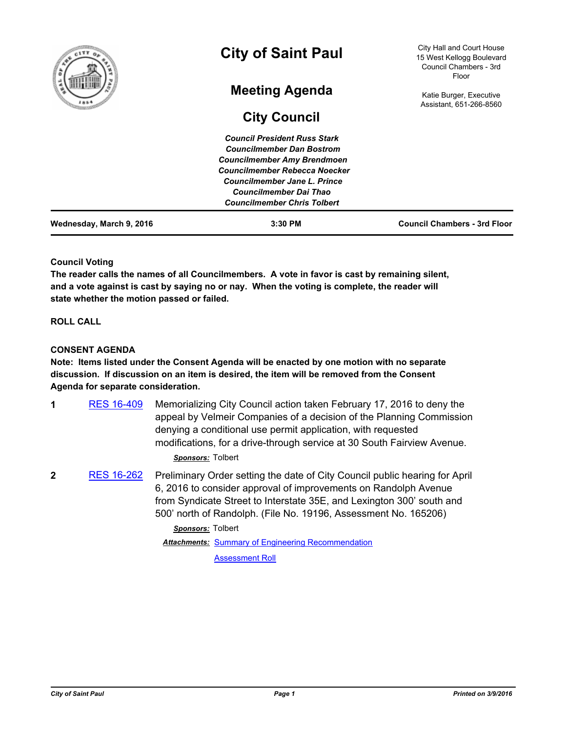

### **Council Voting**

**The reader calls the names of all Councilmembers. A vote in favor is cast by remaining silent, and a vote against is cast by saying no or nay. When the voting is complete, the reader will state whether the motion passed or failed.**

### **ROLL CALL**

### **CONSENT AGENDA**

**Note: Items listed under the Consent Agenda will be enacted by one motion with no separate discussion. If discussion on an item is desired, the item will be removed from the Consent Agenda for separate consideration.**

**1** [RES 16-409](http://stpaul.legistar.com/gateway.aspx?m=l&id=/matter.aspx?key=21084) Memorializing City Council action taken February 17, 2016 to deny the appeal by Velmeir Companies of a decision of the Planning Commission denying a conditional use permit application, with requested modifications, for a drive-through service at 30 South Fairview Avenue.

### *Sponsors:* Tolbert

**2** [RES 16-262](http://stpaul.legistar.com/gateway.aspx?m=l&id=/matter.aspx?key=20880) Preliminary Order setting the date of City Council public hearing for April 6, 2016 to consider approval of improvements on Randolph Avenue from Syndicate Street to Interstate 35E, and Lexington 300' south and 500' north of Randolph. (File No. 19196, Assessment No. 165206)

> *Sponsors:* Tolbert Attachments: [Summary of Engineering Recommendation](http://StPaul.legistar.com/gateway.aspx?M=F&ID=1dd4c23d-1d04-4f42-8dd2-3ba6603e26f7.pdf)

> > [Assessment Roll](http://StPaul.legistar.com/gateway.aspx?M=F&ID=af83a936-4362-4567-9907-877acf447904.pdf)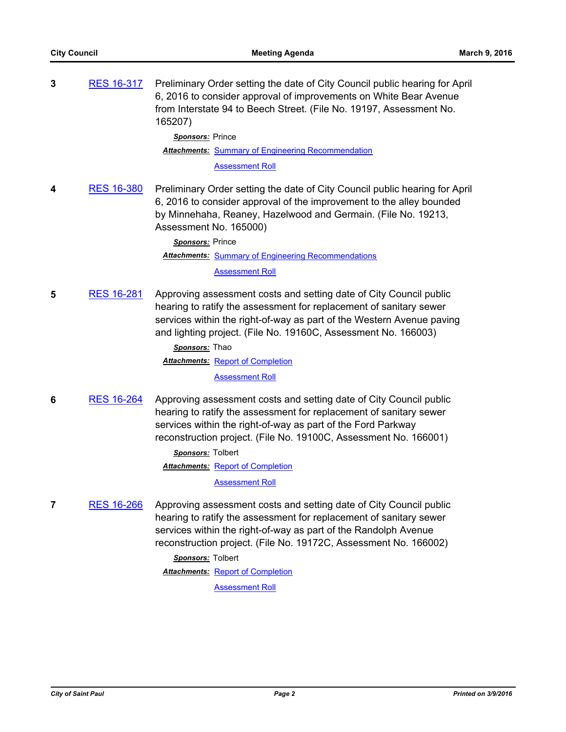| 3 | <b>RES 16-317</b> | Preliminary Order setting the date of City Council public hearing for April<br>6, 2016 to consider approval of improvements on White Bear Avenue<br>from Interstate 94 to Beech Street. (File No. 19197, Assessment No.<br>165207)<br>Sponsors: Prince<br><b>Attachments: Summary of Engineering Recommendation</b><br><b>Assessment Roll</b>                               |
|---|-------------------|-----------------------------------------------------------------------------------------------------------------------------------------------------------------------------------------------------------------------------------------------------------------------------------------------------------------------------------------------------------------------------|
| 4 | <b>RES 16-380</b> | Preliminary Order setting the date of City Council public hearing for April<br>6, 2016 to consider approval of the improvement to the alley bounded<br>by Minnehaha, Reaney, Hazelwood and Germain. (File No. 19213,<br>Assessment No. 165000)<br>Sponsors: Prince<br><b>Attachments: Summary of Engineering Recommendations</b><br><b>Assessment Roll</b>                  |
| 5 | <b>RES 16-281</b> | Approving assessment costs and setting date of City Council public<br>hearing to ratify the assessment for replacement of sanitary sewer<br>services within the right-of-way as part of the Western Avenue paving<br>and lighting project. (File No. 19160C, Assessment No. 166003)<br>Sponsors: Thao<br><b>Attachments: Report of Completion</b><br><b>Assessment Roll</b> |

**6** [RES 16-264](http://stpaul.legistar.com/gateway.aspx?m=l&id=/matter.aspx?key=20882) Approving assessment costs and setting date of City Council public hearing to ratify the assessment for replacement of sanitary sewer services within the right-of-way as part of the Ford Parkway reconstruction project. (File No. 19100C, Assessment No. 166001)

> *Sponsors:* Tolbert **Attachments: [Report of Completion](http://StPaul.legistar.com/gateway.aspx?M=F&ID=e9cac218-501b-4466-9e5f-a9af4b9aa16d.pdf)**

> > [Assessment Roll](http://StPaul.legistar.com/gateway.aspx?M=F&ID=da613868-b66a-4720-831e-12d3b22d67ff.pdf)

**7** [RES 16-266](http://stpaul.legistar.com/gateway.aspx?m=l&id=/matter.aspx?key=20884) Approving assessment costs and setting date of City Council public hearing to ratify the assessment for replacement of sanitary sewer services within the right-of-way as part of the Randolph Avenue reconstruction project. (File No. 19172C, Assessment No. 166002)

*Sponsors:* Tolbert

**Attachments: [Report of Completion](http://StPaul.legistar.com/gateway.aspx?M=F&ID=02ed49e7-fbf7-4a97-911d-b0feebc95aef.pdf)** 

[Assessment Roll](http://StPaul.legistar.com/gateway.aspx?M=F&ID=7feb8c92-7b59-4730-9840-4d6be9436057.pdf)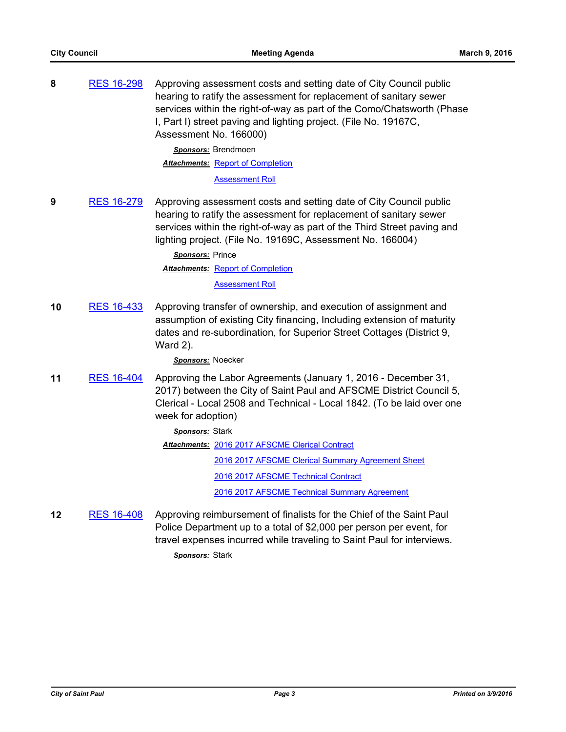| 8 | <b>RES 16-298</b> | Approving assessment costs and setting date of City Council public<br>hearing to ratify the assessment for replacement of sanitary sewer<br>services within the right-of-way as part of the Como/Chatsworth (Phase<br>I, Part I) street paving and lighting project. (File No. 19167C,<br>Assessment No. 166000) |
|---|-------------------|------------------------------------------------------------------------------------------------------------------------------------------------------------------------------------------------------------------------------------------------------------------------------------------------------------------|
|   |                   | Sponsors: Brendmoen                                                                                                                                                                                                                                                                                              |
|   |                   | <b>Attachments: Report of Completion</b>                                                                                                                                                                                                                                                                         |
|   |                   | <b>Assessment Roll</b>                                                                                                                                                                                                                                                                                           |
| 9 | RES 16-279        | Approving assessment costs and setting date of City Council public                                                                                                                                                                                                                                               |

**9** [RES 16-279](http://stpaul.legistar.com/gateway.aspx?m=l&id=/matter.aspx?key=20905) Approving assessment costs and setting date of City Council public hearing to ratify the assessment for replacement of sanitary sewer services within the right-of-way as part of the Third Street paving and lighting project. (File No. 19169C, Assessment No. 166004)

> *Sponsors:* Prince **Attachments: [Report of Completion](http://StPaul.legistar.com/gateway.aspx?M=F&ID=0180dbf1-d883-4eed-bf69-4c9beb02e07e.pdf)** [Assessment Roll](http://StPaul.legistar.com/gateway.aspx?M=F&ID=d1bc0766-b090-4fa5-ade8-9e501339921d.pdf)

**10** [RES 16-433](http://stpaul.legistar.com/gateway.aspx?m=l&id=/matter.aspx?key=21116) Approving transfer of ownership, and execution of assignment and assumption of existing City financing, Including extension of maturity dates and re-subordination, for Superior Street Cottages (District 9, Ward 2).

*Sponsors:* Noecker

**11** [RES 16-404](http://stpaul.legistar.com/gateway.aspx?m=l&id=/matter.aspx?key=21073) Approving the Labor Agreements (January 1, 2016 - December 31, 2017) between the City of Saint Paul and AFSCME District Council 5, Clerical - Local 2508 and Technical - Local 1842. (To be laid over one week for adoption)

> *Sponsors:* Stark Attachments: [2016 2017 AFSCME Clerical Contract](http://StPaul.legistar.com/gateway.aspx?M=F&ID=ef5885d9-c105-4199-995b-323498d78a84.pdf) [2016 2017 AFSCME Clerical Summary Agreement Sheet](http://StPaul.legistar.com/gateway.aspx?M=F&ID=51815b7a-731a-4255-bafc-4ee575076082.pdf) [2016 2017 AFSCME Technical Contract](http://StPaul.legistar.com/gateway.aspx?M=F&ID=528a29d8-d860-41f5-8e56-c0460c9b66c0.pdf) [2016 2017 AFSCME Technical Summary Agreement](http://StPaul.legistar.com/gateway.aspx?M=F&ID=f0578882-12d5-4dd4-b60f-368436833655.pdf)

**12** [RES 16-408](http://stpaul.legistar.com/gateway.aspx?m=l&id=/matter.aspx?key=21082) Approving reimbursement of finalists for the Chief of the Saint Paul Police Department up to a total of \$2,000 per person per event, for travel expenses incurred while traveling to Saint Paul for interviews.

*Sponsors:* Stark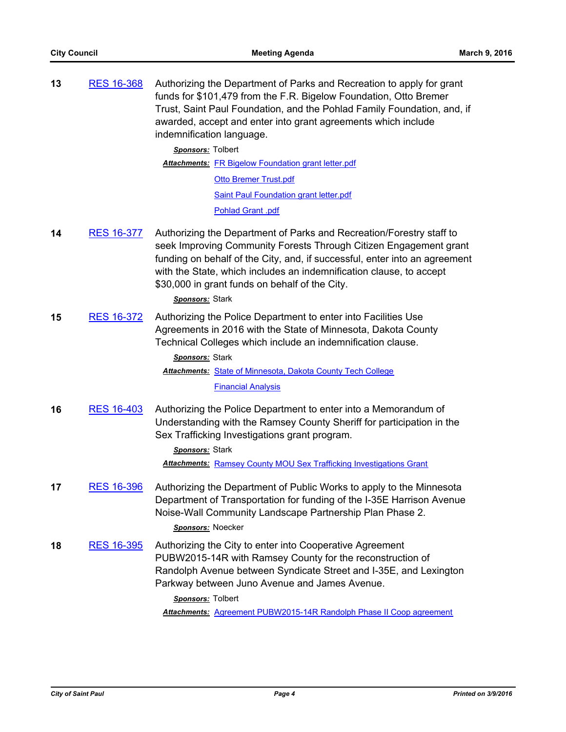| 13 | <b>RES 16-368</b> | Authorizing the Department of Parks and Recreation to apply for grant<br>funds for \$101,479 from the F.R. Bigelow Foundation, Otto Bremer<br>Trust, Saint Paul Foundation, and the Pohlad Family Foundation, and, if<br>awarded, accept and enter into grant agreements which include<br>indemnification language.                                                        |
|----|-------------------|----------------------------------------------------------------------------------------------------------------------------------------------------------------------------------------------------------------------------------------------------------------------------------------------------------------------------------------------------------------------------|
|    |                   | Sponsors: Tolbert                                                                                                                                                                                                                                                                                                                                                          |
|    |                   | Attachments: FR Bigelow Foundation grant letter.pdf                                                                                                                                                                                                                                                                                                                        |
|    |                   | <b>Otto Bremer Trust.pdf</b>                                                                                                                                                                                                                                                                                                                                               |
|    |                   | <b>Saint Paul Foundation grant letter.pdf</b>                                                                                                                                                                                                                                                                                                                              |
|    |                   | Pohlad Grant .pdf                                                                                                                                                                                                                                                                                                                                                          |
| 14 | <b>RES 16-377</b> | Authorizing the Department of Parks and Recreation/Forestry staff to<br>seek Improving Community Forests Through Citizen Engagement grant<br>funding on behalf of the City, and, if successful, enter into an agreement<br>with the State, which includes an indemnification clause, to accept<br>\$30,000 in grant funds on behalf of the City.<br><b>Sponsors:</b> Stark |
| 15 | <b>RES 16-372</b> | Authorizing the Police Department to enter into Facilities Use<br>Agreements in 2016 with the State of Minnesota, Dakota County                                                                                                                                                                                                                                            |

Technical Colleges which include an indemnification clause.

*Sponsors:* Stark

Attachments: [State of Minnesota, Dakota County Tech College](http://StPaul.legistar.com/gateway.aspx?M=F&ID=a892e4a5-1665-4d97-988d-ec563e6d4a47.pdf)

# [Financial Analysis](http://StPaul.legistar.com/gateway.aspx?M=F&ID=16b90276-77d8-40c5-8f70-c7644facec04.pdf)

**16** [RES 16-403](http://stpaul.legistar.com/gateway.aspx?m=l&id=/matter.aspx?key=21072) Authorizing the Police Department to enter into a Memorandum of Understanding with the Ramsey County Sheriff for participation in the Sex Trafficking Investigations grant program.

### *Sponsors:* Stark

*Attachments:* [Ramsey County MOU Sex Trafficking Investigations Grant](http://StPaul.legistar.com/gateway.aspx?M=F&ID=ba7330be-748d-4884-9abb-b59c38641dc9.pdf)

**17** [RES 16-396](http://stpaul.legistar.com/gateway.aspx?m=l&id=/matter.aspx?key=21061) Authorizing the Department of Public Works to apply to the Minnesota Department of Transportation for funding of the I-35E Harrison Avenue Noise-Wall Community Landscape Partnership Plan Phase 2.

### *Sponsors:* Noecker

**18** [RES 16-395](http://stpaul.legistar.com/gateway.aspx?m=l&id=/matter.aspx?key=21054) Authorizing the City to enter into Cooperative Agreement PUBW2015-14R with Ramsey County for the reconstruction of Randolph Avenue between Syndicate Street and I-35E, and Lexington Parkway between Juno Avenue and James Avenue.

*Sponsors:* Tolbert

*Attachments:* [Agreement PUBW2015-14R Randolph Phase II Coop agreement](http://StPaul.legistar.com/gateway.aspx?M=F&ID=90cf218b-a3c6-4c55-b0c3-fffe3007c6d0.pdf)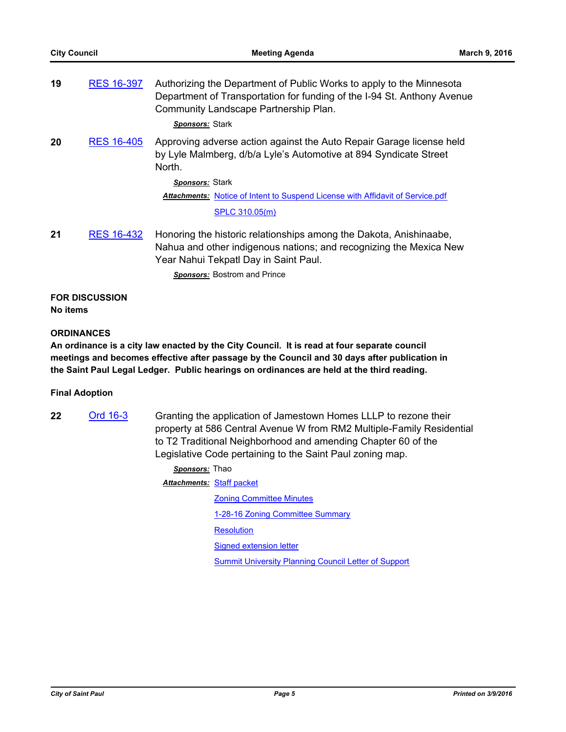| 19 | <b>RES 16-397</b> | Authorizing the Department of Public Works to apply to the Minnesota<br>Department of Transportation for funding of the I-94 St. Anthony Avenue<br>Community Landscape Partnership Plan.<br>Sponsors: Stark |
|----|-------------------|-------------------------------------------------------------------------------------------------------------------------------------------------------------------------------------------------------------|
| 20 | <b>RES 16-405</b> | Approving adverse action against the Auto Repair Garage license held<br>by Lyle Malmberg, d/b/a Lyle's Automotive at 894 Syndicate Street<br>North.                                                         |
|    |                   | Sponsors: Stark                                                                                                                                                                                             |
|    |                   | Attachments: Notice of Intent to Suspend License with Affidavit of Service.pdf                                                                                                                              |
|    |                   | SPLC 310.05(m)                                                                                                                                                                                              |
| 21 | <b>RES 16-432</b> | Honoring the historic relationships among the Dakota, Anishinaabe,<br>Nahua and other indigenous nations; and recognizing the Mexica New<br>Year Nahui Tekpatl Day in Saint Paul.                           |

*Sponsors:* Bostrom and Prince

## **FOR DISCUSSION**

**No items**

### **ORDINANCES**

**An ordinance is a city law enacted by the City Council. It is read at four separate council meetings and becomes effective after passage by the Council and 30 days after publication in the Saint Paul Legal Ledger. Public hearings on ordinances are held at the third reading.**

### **Final Adoption**

**22** [Ord 16-3](http://stpaul.legistar.com/gateway.aspx?m=l&id=/matter.aspx?key=20914) Granting the application of Jamestown Homes LLLP to rezone their property at 586 Central Avenue W from RM2 Multiple-Family Residential to T2 Traditional Neighborhood and amending Chapter 60 of the Legislative Code pertaining to the Saint Paul zoning map.

| Sponsors: Thao            |                                                             |
|---------------------------|-------------------------------------------------------------|
| Attachments: Staff packet |                                                             |
|                           | <b>Zoning Committee Minutes</b>                             |
|                           | 1-28-16 Zoning Committee Summary                            |
|                           | <b>Resolution</b>                                           |
|                           | Signed extension letter                                     |
|                           | <b>Summit University Planning Council Letter of Support</b> |